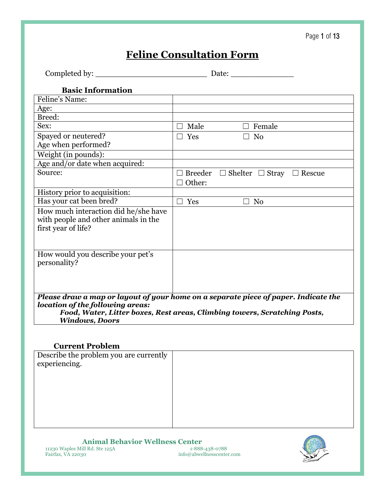## Page 1 of 13

# **Feline Consultation Form**

|                                                                                                                                                                                                                               | Date:                                             |  |  |
|-------------------------------------------------------------------------------------------------------------------------------------------------------------------------------------------------------------------------------|---------------------------------------------------|--|--|
| <b>Basic Information</b>                                                                                                                                                                                                      |                                                   |  |  |
| Feline's Name:                                                                                                                                                                                                                |                                                   |  |  |
| Age:                                                                                                                                                                                                                          |                                                   |  |  |
| Breed:                                                                                                                                                                                                                        |                                                   |  |  |
| Sex:                                                                                                                                                                                                                          | Female<br>Male                                    |  |  |
| Spayed or neutered?<br>Age when performed?                                                                                                                                                                                    | Yes<br>N <sub>0</sub><br>$\mathbf{L}$             |  |  |
| Weight (in pounds):                                                                                                                                                                                                           |                                                   |  |  |
| Age and/or date when acquired:                                                                                                                                                                                                |                                                   |  |  |
| Source:                                                                                                                                                                                                                       | Breeder $\Box$ Shelter $\Box$ Stray $\Box$ Rescue |  |  |
|                                                                                                                                                                                                                               | Other:                                            |  |  |
| History prior to acquisition:                                                                                                                                                                                                 |                                                   |  |  |
| Has your cat been bred?                                                                                                                                                                                                       | Yes<br>N <sub>0</sub><br>$\perp$<br>$\perp$       |  |  |
| How much interaction did he/she have<br>with people and other animals in the<br>first year of life?                                                                                                                           |                                                   |  |  |
| How would you describe your pet's<br>personality?                                                                                                                                                                             |                                                   |  |  |
| Please draw a map or layout of your home on a separate piece of paper. Indicate the<br>location of the following areas:<br>Food, Water, Litter boxes, Rest areas, Climbing towers, Scratching Posts,<br><b>Windows, Doors</b> |                                                   |  |  |

#### **Current Problem**

| Describe the problem you are currently |  |
|----------------------------------------|--|
| experiencing.                          |  |
|                                        |  |
|                                        |  |
|                                        |  |
|                                        |  |
|                                        |  |
|                                        |  |

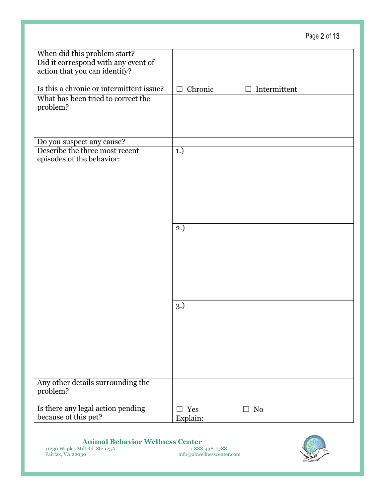## Page 2 of 13

| When did this problem start?                                         |                                          |
|----------------------------------------------------------------------|------------------------------------------|
| Did it correspond with any event of<br>action that you can identify? |                                          |
| Is this a chronic or intermittent issue?                             | Chronic<br>$\Box$ Intermittent<br>$\Box$ |
| What has been tried to correct the<br>problem?                       |                                          |
| Do you suspect any cause?                                            |                                          |
| Describe the three most recent<br>episodes of the behavior:          | 1.)                                      |
|                                                                      | 2.)                                      |
|                                                                      |                                          |
|                                                                      | 3.)                                      |
| Any other details surrounding the                                    |                                          |
| problem?                                                             |                                          |
| Is there any legal action pending<br>because of this pet?            | $\Box$ Yes<br>No<br>$\Box$<br>Explain:   |

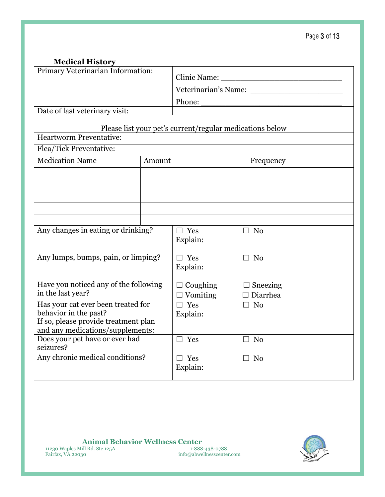| <b>Medical History</b>                                                   |        |                                                          |                                    |  |
|--------------------------------------------------------------------------|--------|----------------------------------------------------------|------------------------------------|--|
| Primary Veterinarian Information:                                        |        |                                                          |                                    |  |
|                                                                          |        |                                                          |                                    |  |
|                                                                          |        | Phone:                                                   |                                    |  |
| Date of last veterinary visit:                                           |        |                                                          |                                    |  |
|                                                                          |        | Please list your pet's current/regular medications below |                                    |  |
| <b>Heartworm Preventative:</b>                                           |        |                                                          |                                    |  |
| Flea/Tick Preventative:                                                  |        |                                                          |                                    |  |
| <b>Medication Name</b>                                                   | Amount |                                                          | Frequency                          |  |
|                                                                          |        |                                                          |                                    |  |
|                                                                          |        |                                                          |                                    |  |
|                                                                          |        |                                                          |                                    |  |
|                                                                          |        |                                                          |                                    |  |
|                                                                          |        |                                                          |                                    |  |
| Any changes in eating or drinking?                                       |        | $\Box$ Yes                                               | $\Box$ No                          |  |
|                                                                          |        | Explain:                                                 |                                    |  |
| Any lumps, bumps, pain, or limping?                                      |        | $\Box$ Yes                                               | $\Box$ No                          |  |
|                                                                          |        | Explain:                                                 |                                    |  |
| Have you noticed any of the following                                    |        |                                                          |                                    |  |
| in the last year?                                                        |        | $\Box$ Coughing<br>$\Box$ Vomiting                       | $\Box$ Sneezing<br>$\Box$ Diarrhea |  |
| Has your cat ever been treated for                                       |        | $\Box$ Yes                                               | $\Box$ No                          |  |
| behavior in the past?                                                    |        | Explain:                                                 |                                    |  |
| If so, please provide treatment plan<br>and any medications/supplements: |        |                                                          |                                    |  |
| Does your pet have or ever had                                           |        | $\Box$ Yes                                               | $\Box$ No                          |  |
| seizures?                                                                |        |                                                          |                                    |  |
| Any chronic medical conditions?                                          |        | $\Box$ Yes                                               | $\Box$ No                          |  |
|                                                                          |        | Explain:                                                 |                                    |  |
|                                                                          |        |                                                          |                                    |  |

 *Animal Behavior Wellness Center* **<b>** *<b>Animal Behavior Wellness Center <b><i>Animal Behavior Wellness Center* 11230 Waples Mill Rd. Ste 125A1-888-438-0788 Fairfax, VA 22030 info@abwellnesscenter.com

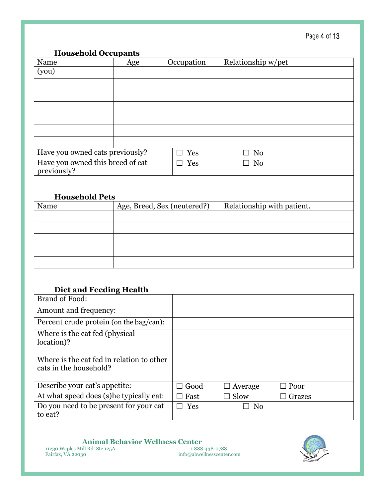#### **Household Occupants**

| Name                                            | Age | Occupation | Relationship w/pet |
|-------------------------------------------------|-----|------------|--------------------|
| (you)                                           |     |            |                    |
|                                                 |     |            |                    |
|                                                 |     |            |                    |
|                                                 |     |            |                    |
|                                                 |     |            |                    |
|                                                 |     |            |                    |
|                                                 |     |            |                    |
| Have you owned cats previously?                 |     | Yes        | No                 |
| Have you owned this breed of cat<br>previously? |     | Yes        | N <sub>0</sub>     |

## **Household Pets**

| Name | Age, Breed, Sex (neutered?) | Relationship with patient. |
|------|-----------------------------|----------------------------|
|      |                             |                            |
|      |                             |                            |
|      |                             |                            |
|      |                             |                            |
|      |                             |                            |

### **Diet and Feeding Health**

| Brand of Food:                                                      |      |                |             |
|---------------------------------------------------------------------|------|----------------|-------------|
| Amount and frequency:                                               |      |                |             |
| Percent crude protein (on the bag/can):                             |      |                |             |
| Where is the cat fed (physical<br>location)?                        |      |                |             |
| Where is the cat fed in relation to other<br>cats in the household? |      |                |             |
| Describe your cat's appetite:                                       | Good | Average        | $\Box$ Poor |
| At what speed does (s) he typically eat:                            | Fast | Slow           | Grazes      |
| Do you need to be present for your cat<br>to eat?                   | Yes  | N <sub>0</sub> |             |

**Animal Behavior Wellness Center**<br>
ill Rd. Ste 125A<br> **Bould by South** the passed info@abwellnesscenter.com<br> **COMPTER SETA**<br> **Bould by South** info@abwellnesscenter.com 11230 Waples Mill Rd. Ste 125A1-888-438-0788 Fairfax, VA 22030 info@abwellnesscenter.com

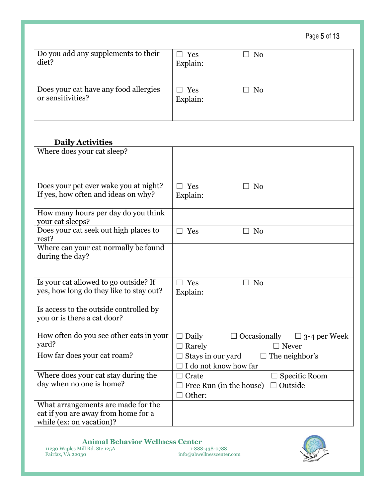Page 5 of 13

| Do you add any supplements to their                        | $\Box$ Yes             | No             |
|------------------------------------------------------------|------------------------|----------------|
| diet?                                                      | Explain:               | $\blacksquare$ |
| Does your cat have any food allergies<br>or sensitivities? | $\Box$ Yes<br>Explain: | $\Box$ No      |

## **Daily Activities**

| Where does your cat sleep?                                            |                                                     |
|-----------------------------------------------------------------------|-----------------------------------------------------|
| Does your pet ever wake you at night?                                 | Yes<br>No                                           |
| If yes, how often and ideas on why?                                   | Explain:                                            |
| How many hours per day do you think<br>your cat sleeps?               |                                                     |
| Does your cat seek out high places to<br>rest?                        | Yes<br>No                                           |
| Where can your cat normally be found<br>during the day?               |                                                     |
| Is your cat allowed to go outside? If                                 | Yes<br>N <sub>0</sub>                               |
| yes, how long do they like to stay out?                               | Explain:                                            |
| Is access to the outside controlled by<br>you or is there a cat door? |                                                     |
| How often do you see other cats in your                               | Daily<br>$\Box$ Occasionally<br>$\Box$ 3-4 per Week |
| yard?                                                                 | Rarely<br>$\Box$ Never                              |
| How far does your cat roam?                                           | Stays in our yard<br>$\Box$ The neighbor's          |
|                                                                       | I do not know how far                               |
| Where does your cat stay during the                                   | $\Box$ Specific Room<br>Crate                       |
| day when no one is home?                                              | $\Box$ Outside<br>Free Run (in the house)           |
|                                                                       | Other:                                              |
| What arrangements are made for the                                    |                                                     |
| cat if you are away from home for a                                   |                                                     |
| while (ex: on vacation)?                                              |                                                     |

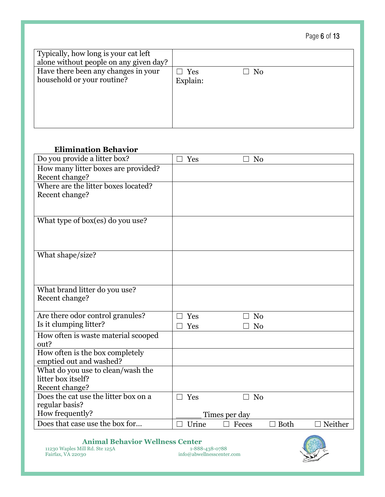| Page 6 of 13 |  |  |  |
|--------------|--|--|--|
|--------------|--|--|--|

| Typically, how long is your cat left<br>alone without people on any given day? |                                     |
|--------------------------------------------------------------------------------|-------------------------------------|
| Have there been any changes in your<br>household or your routine?              | $\Box$ Yes<br>$\Box$ No<br>Explain: |

## **Elimination Behavior**

| Do you provide a litter box?         | Yes           | N <sub>0</sub>       |         |
|--------------------------------------|---------------|----------------------|---------|
| How many litter boxes are provided?  |               |                      |         |
| Recent change?                       |               |                      |         |
| Where are the litter boxes located?  |               |                      |         |
| Recent change?                       |               |                      |         |
|                                      |               |                      |         |
|                                      |               |                      |         |
| What type of box(es) do you use?     |               |                      |         |
|                                      |               |                      |         |
|                                      |               |                      |         |
| What shape/size?                     |               |                      |         |
|                                      |               |                      |         |
|                                      |               |                      |         |
|                                      |               |                      |         |
| What brand litter do you use?        |               |                      |         |
| Recent change?                       |               |                      |         |
|                                      |               |                      |         |
| Are there odor control granules?     | Yes           | N <sub>0</sub>       |         |
| Is it clumping litter?               | Yes           | N <sub>0</sub>       |         |
| How often is waste material scooped  |               |                      |         |
| out?                                 |               |                      |         |
| How often is the box completely      |               |                      |         |
| emptied out and washed?              |               |                      |         |
| What do you use to clean/wash the    |               |                      |         |
| litter box itself?                   |               |                      |         |
| Recent change?                       |               |                      |         |
| Does the cat use the litter box on a | Yes<br>$\Box$ | N <sub>0</sub><br>┓  |         |
| regular basis?                       |               |                      |         |
| How frequently?                      |               | Times per day        |         |
| Does that case use the box for       | Urine         | <b>Both</b><br>Feces | Neither |

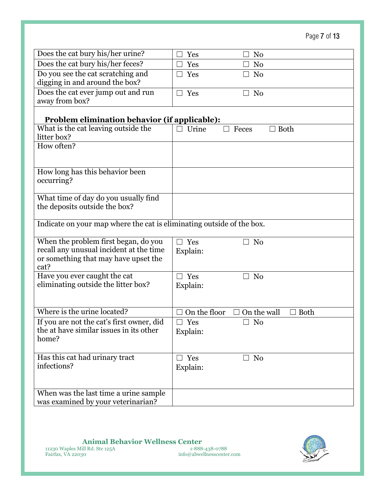Page 7 of 13

| Does the cat bury his/her urine?                                            | Yes<br>N <sub>0</sub>                        |
|-----------------------------------------------------------------------------|----------------------------------------------|
| Does the cat bury his/her feces?                                            | Yes<br>N <sub>0</sub><br>$\Box$              |
| Do you see the cat scratching and                                           | Yes<br>N <sub>0</sub>                        |
| digging in and around the box?                                              |                                              |
| Does the cat ever jump out and run                                          | Yes<br>N <sub>0</sub>                        |
| away from box?                                                              |                                              |
| <b>Problem elimination behavior (if applicable):</b>                        |                                              |
| What is the cat leaving outside the                                         | Urine<br><b>Both</b><br>Feces                |
| litter box?                                                                 |                                              |
| How often?                                                                  |                                              |
|                                                                             |                                              |
| How long has this behavior been                                             |                                              |
| occurring?                                                                  |                                              |
|                                                                             |                                              |
| What time of day do you usually find                                        |                                              |
| the deposits outside the box?                                               |                                              |
| Indicate on your map where the cat is eliminating outside of the box.       |                                              |
|                                                                             |                                              |
| When the problem first began, do you                                        | $\Box$ Yes<br>N <sub>o</sub><br>٦            |
| recall any unusual incident at the time                                     | Explain:                                     |
| or something that may have upset the                                        |                                              |
| cat?                                                                        |                                              |
| Have you ever caught the cat                                                | $\Box$ Yes<br>N <sub>o</sub>                 |
| eliminating outside the litter box?                                         | Explain:                                     |
|                                                                             |                                              |
| Where is the urine located?                                                 | On the floor<br>On the wall<br>Both          |
| If you are not the cat's first owner, did                                   | $\Box$ Yes<br>No<br>$\overline{\phantom{a}}$ |
| the at have similar issues in its other                                     | Explain:                                     |
| home?                                                                       |                                              |
|                                                                             |                                              |
| Has this cat had urinary tract                                              | $\Box$ Yes<br>$\Box$ No                      |
| infections?                                                                 | Explain:                                     |
|                                                                             |                                              |
|                                                                             |                                              |
| When was the last time a urine sample<br>was examined by your veterinarian? |                                              |
|                                                                             |                                              |

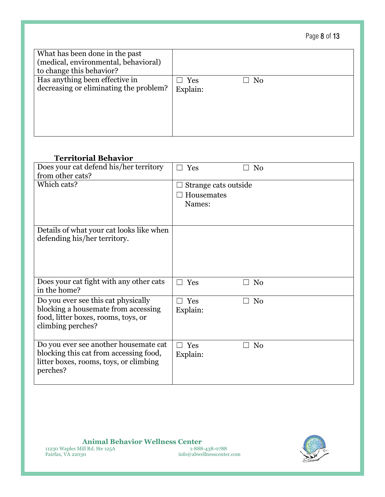## Page 8 of 13

| What has been done in the past<br>(medical, environmental, behavioral)<br>to change this behavior? |                        |    |
|----------------------------------------------------------------------------------------------------|------------------------|----|
| Has anything been effective in<br>decreasing or eliminating the problem?                           | $\Box$ Yes<br>Explain: | No |

#### **Territorial Behavior**

| Does your cat defend his/her territory<br>from other cats?                                                                             | Yes                                          | N <sub>0</sub> |
|----------------------------------------------------------------------------------------------------------------------------------------|----------------------------------------------|----------------|
| Which cats?                                                                                                                            | Strange cats outside<br>Housemates<br>Names: |                |
| Details of what your cat looks like when<br>defending his/her territory.                                                               |                                              |                |
| Does your cat fight with any other cats<br>in the home?                                                                                | Yes                                          | N <sub>0</sub> |
| Do you ever see this cat physically<br>blocking a housemate from accessing<br>food, litter boxes, rooms, toys, or<br>climbing perches? | Yes<br>Explain:                              | N <sub>0</sub> |
| Do you ever see another housemate cat<br>blocking this cat from accessing food,<br>litter boxes, rooms, toys, or climbing<br>perches?  | Yes<br>Explain:                              | N <sub>0</sub> |

**Animal Behavior Wellness Center**<br> **EXECUTE:** III Rd. Ste 125A<br>
30<br> **Animal Behavior Wellness Center**<br> **EXECUTE:** 1-888-438-0788<br> **Animal Behavior Wellness Center**.com 11230 Waples Mill Rd. Ste 125A1-888-438-0788 Fairfax, VA 22030 info@abwellnesscenter.com

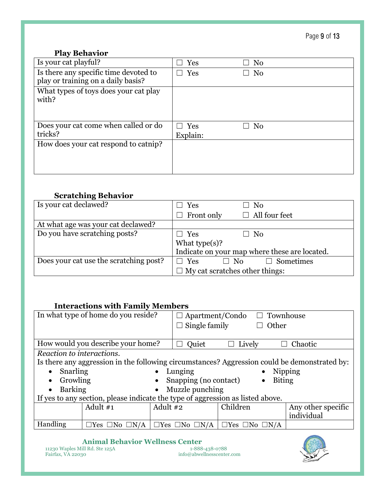Page 9 of 13

## **Play Behavior**

| Is your cat playful?                                                        | Yes        | No             |
|-----------------------------------------------------------------------------|------------|----------------|
| Is there any specific time devoted to<br>play or training on a daily basis? | Yes        | N <sub>0</sub> |
|                                                                             |            |                |
| What types of toys does your cat play<br>with?                              |            |                |
| Does your cat come when called or do                                        | $\Box$ Yes | No             |
| tricks?                                                                     | Explain:   |                |
| How does your cat respond to catnip?                                        |            |                |
|                                                                             |            |                |
|                                                                             |            |                |

## **Scratching Behavior**

| Is your cat declawed?                  | $\Box$ Yes                            | No                                            |
|----------------------------------------|---------------------------------------|-----------------------------------------------|
|                                        | $\Box$ Front only                     | $\Box$ All four feet                          |
| At what age was your cat declawed?     |                                       |                                               |
| Do you have scratching posts?          | $\Box$ Yes                            | $\Box$ No                                     |
|                                        | What $type(s)$ ?                      |                                               |
|                                        |                                       | Indicate on your map where these are located. |
| Does your cat use the scratching post? | $\Box$ Yes<br>$\Box$ No               | $\Box$ Sometimes                              |
|                                        | $\Box$ My cat scratches other things: |                                               |

### **Interactions with Family Members**

|                           | In what type of home do you reside?                                                          |            | $\Box$ Apartment/Condo $\Box$ Townhouse |                                 |                            |                    |
|---------------------------|----------------------------------------------------------------------------------------------|------------|-----------------------------------------|---------------------------------|----------------------------|--------------------|
|                           |                                                                                              |            | Single family                           |                                 | Other                      |                    |
|                           |                                                                                              |            |                                         |                                 |                            |                    |
|                           | How would you describe your home?                                                            |            | Quiet                                   | Lively                          |                            | Chaotic            |
| Reaction to interactions. |                                                                                              |            |                                         |                                 |                            |                    |
|                           | Is there any aggression in the following circumstances? Aggression could be demonstrated by: |            |                                         |                                 |                            |                    |
| Snarling<br>$\bullet$     |                                                                                              |            | Lunging                                 |                                 | $\bullet$                  | Nipping            |
| Growling<br>$\bullet$     |                                                                                              |            | Snapping (no contact)                   |                                 | <b>Biting</b><br>$\bullet$ |                    |
| <b>Barking</b>            |                                                                                              |            | Muzzle punching                         |                                 |                            |                    |
|                           | If yes to any section, please indicate the type of aggression as listed above.               |            |                                         |                                 |                            |                    |
|                           | Adult #1                                                                                     | Adult $#2$ |                                         | Children                        |                            | Any other specific |
|                           |                                                                                              |            |                                         |                                 |                            | individual         |
| Handling                  | $\Box$ Yes $\Box$ No $\Box$ N/A                                                              |            | $\Box$ Yes $\Box$ No $\Box$ N/A         | $\Box$ Yes $\Box$ No $\Box$ N/A |                            |                    |
|                           |                                                                                              |            |                                         |                                 |                            |                    |

**Animal Behavior Wellness Center**<br> **ill Rd. Ste 125A** 1-888-438-0788 11230 Waples Mill Rd. Ste 125A1-888-438-0788 Fairfax, VA 22030 info@abwellnesscenter.com

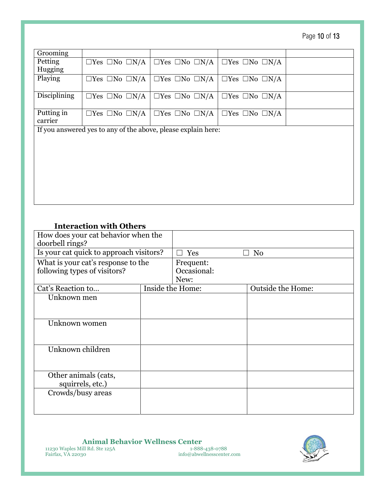Page 10 of 13

| Grooming                                                      |                                 |                                 |                                 |  |
|---------------------------------------------------------------|---------------------------------|---------------------------------|---------------------------------|--|
| Petting                                                       | $\Box$ Yes $\Box$ No $\Box$ N/A | $\Box$ Yes $\Box$ No $\Box$ N/A | $\Box$ Yes $\Box$ No $\Box$ N/A |  |
| Hugging                                                       |                                 |                                 |                                 |  |
| Playing                                                       | $\Box$ Yes $\Box$ No $\Box$ N/A | $\Box$ Yes $\Box$ No $\Box$ N/A | $\Box$ Yes $\Box$ No $\Box$ N/A |  |
|                                                               |                                 |                                 |                                 |  |
| Disciplining                                                  | $\Box$ Yes $\Box$ No $\Box$ N/A | $\Box$ Yes $\Box$ No $\Box$ N/A | $\Box$ Yes $\Box$ No $\Box$ N/A |  |
|                                                               |                                 |                                 |                                 |  |
| Putting in                                                    | $\Box$ Yes $\Box$ No $\Box$ N/A | $\Box$ Yes $\Box$ No $\Box$ N/A | $\Box$ Yes $\Box$ No $\Box$ N/A |  |
| carrier                                                       |                                 |                                 |                                 |  |
| If you answered yes to any of the above, please explain here: |                                 |                                 |                                 |  |

### **Interaction with Others**

| How does your cat behavior when the<br>doorbell rings?             |  |                                  |                          |
|--------------------------------------------------------------------|--|----------------------------------|--------------------------|
| Is your cat quick to approach visitors?                            |  | Yes                              | N <sub>0</sub>           |
| What is your cat's response to the<br>following types of visitors? |  | Frequent:<br>Occasional:<br>New: |                          |
| Cat's Reaction to                                                  |  | Inside the Home:                 | <b>Outside the Home:</b> |
| Unknown men                                                        |  |                                  |                          |
| Unknown women                                                      |  |                                  |                          |
| Unknown children                                                   |  |                                  |                          |
| Other animals (cats,<br>squirrels, etc.)                           |  |                                  |                          |
| Crowds/busy areas                                                  |  |                                  |                          |

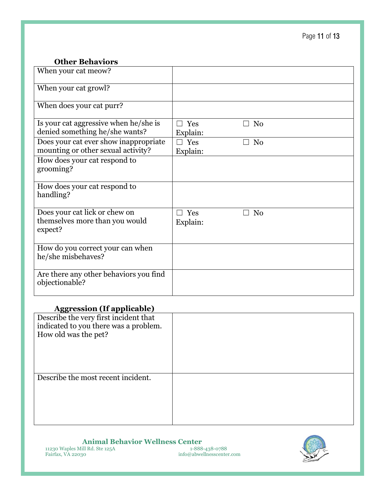### **Other Behaviors**

| When your cat meow?                                                         |                 |                |
|-----------------------------------------------------------------------------|-----------------|----------------|
| When your cat growl?                                                        |                 |                |
| When does your cat purr?                                                    |                 |                |
| Is your cat aggressive when he/she is<br>denied something he/she wants?     | Yes<br>Explain: | N <sub>0</sub> |
| Does your cat ever show inappropriate<br>mounting or other sexual activity? | Yes<br>Explain: | N <sub>0</sub> |
| How does your cat respond to<br>grooming?                                   |                 |                |
| How does your cat respond to<br>handling?                                   |                 |                |
| Does your cat lick or chew on<br>themselves more than you would             | Yes<br>Explain: | N <sub>0</sub> |
| expect?                                                                     |                 |                |
| How do you correct your can when<br>he/she misbehaves?                      |                 |                |
| Are there any other behaviors you find<br>objectionable?                    |                 |                |
|                                                                             |                 |                |

### **Aggression (If applicable)**

| ັ<br>Describe the very first incident that |  |
|--------------------------------------------|--|
| indicated to you there was a problem.      |  |
| How old was the pet?                       |  |
|                                            |  |
|                                            |  |
|                                            |  |
|                                            |  |
|                                            |  |
| Describe the most recent incident.         |  |
|                                            |  |
|                                            |  |
|                                            |  |
|                                            |  |
|                                            |  |

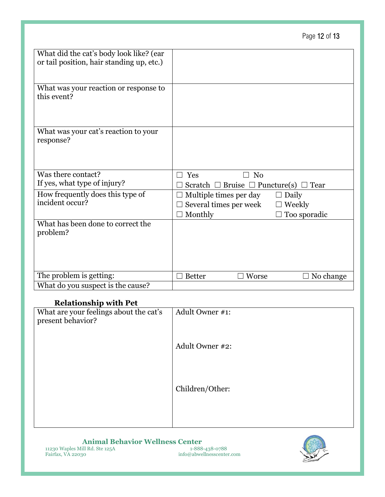|                                                                                      |                                                                                    | Page 12 of 13                                 |
|--------------------------------------------------------------------------------------|------------------------------------------------------------------------------------|-----------------------------------------------|
| What did the cat's body look like? (ear<br>or tail position, hair standing up, etc.) |                                                                                    |                                               |
| What was your reaction or response to<br>this event?                                 |                                                                                    |                                               |
| What was your cat's reaction to your<br>response?                                    |                                                                                    |                                               |
| Was there contact?<br>If yes, what type of injury?                                   | N <sub>0</sub><br>Yes<br>П<br>Scratch $\Box$ Bruise $\Box$ Puncture(s) $\Box$ Tear |                                               |
| How frequently does this type of<br>incident occur?                                  | Multiple times per day<br>Several times per week<br>Monthly                        | $\Box$ Daily<br><b>Weekly</b><br>Too sporadic |
| What has been done to correct the<br>problem?                                        |                                                                                    |                                               |
| The problem is getting:                                                              | Worse<br><b>Better</b>                                                             | No change                                     |
| What do you suspect is the cause?                                                    |                                                                                    |                                               |

#### **Relationship with Pet**

| relationship with 1 et                 |                 |
|----------------------------------------|-----------------|
| What are your feelings about the cat's | Adult Owner #1: |
|                                        |                 |
| present behavior?                      |                 |
|                                        |                 |
|                                        |                 |
|                                        |                 |
|                                        | Adult Owner #2: |
|                                        |                 |
|                                        |                 |
|                                        |                 |
|                                        |                 |
|                                        |                 |
|                                        | Children/Other: |
|                                        |                 |
|                                        |                 |
|                                        |                 |
|                                        |                 |
|                                        |                 |
|                                        |                 |

#### **Animal Behavior Wellness Center**<br> **EDEA BRACES 1-888-438-0788**<br> **EDEA BRACES 1-888-438-0788**<br> **EDEA BRACES 100**<br> **EDEA BRACES 100**<br> **EDEA BRACES** 11230 Waples Mill Rd. Ste 125A1-888-438-0788 Fairfax, VA 22030 info@abwellnesscenter.com